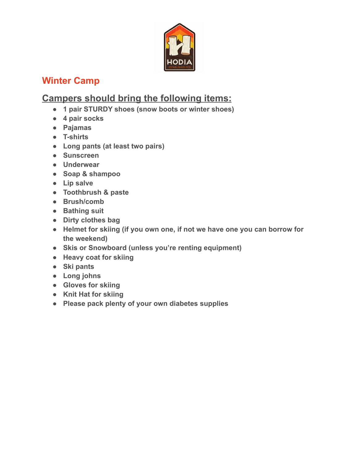

## **Winter Camp**

## **Campers should bring the following items:**

- **1 pair STURDY shoes (snow boots or winter shoes)**
- **4 pair socks**
- **Pajamas**
- **T-shirts**
- **Long pants (at least two pairs)**
- **Sunscreen**
- **Underwear**
- **Soap & shampoo**
- **Lip salve**
- **Toothbrush & paste**
- **Brush/comb**
- **Bathing suit**
- **Dirty clothes bag**
- **Helmet for skiing (if you own one, if not we have one you can borrow for the weekend)**
- **Skis or Snowboard (unless you're renting equipment)**
- **Heavy coat for skiing**
- **Ski pants**
- **Long johns**
- **Gloves for skiing**
- **Knit Hat for skiing**
- **Please pack plenty of your own diabetes supplies**